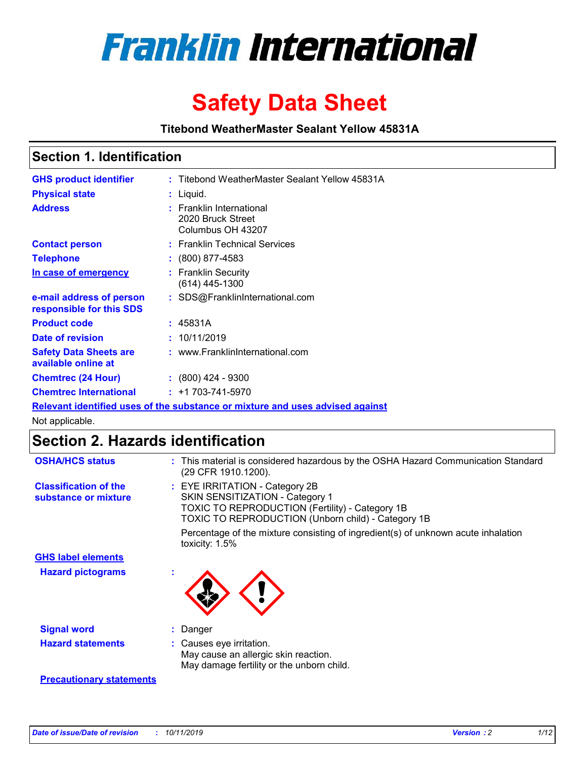

# **Safety Data Sheet**

**Titebond WeatherMaster Sealant Yellow 45831A**

### **Section 1. Identification**

| <b>GHS product identifier</b>                        | : Titebond WeatherMaster Sealant Yellow 45831A                                |
|------------------------------------------------------|-------------------------------------------------------------------------------|
| <b>Physical state</b>                                | $:$ Liquid.                                                                   |
| <b>Address</b>                                       | : Franklin International<br>2020 Bruck Street<br>Columbus OH 43207            |
| <b>Contact person</b>                                | : Franklin Technical Services                                                 |
| <b>Telephone</b>                                     | $\colon$ (800) 877-4583                                                       |
| In case of emergency                                 | : Franklin Security<br>$(614)$ 445-1300                                       |
| e-mail address of person<br>responsible for this SDS | : SDS@FranklinInternational.com                                               |
| <b>Product code</b>                                  | : 45831A                                                                      |
| Date of revision                                     | : 10/11/2019                                                                  |
| <b>Safety Data Sheets are</b><br>available online at | : www.FranklinInternational.com                                               |
| <b>Chemtrec (24 Hour)</b>                            | $(800)$ 424 - 9300                                                            |
| <b>Chemtrec International</b>                        | $: +1703 - 741 - 5970$                                                        |
|                                                      | Relevant identified uses of the substance or mixture and uses advised against |

Not applicable.

## **Section 2. Hazards identification**

| <b>OSHA/HCS status</b>                               | : This material is considered hazardous by the OSHA Hazard Communication Standard<br>(29 CFR 1910.1200).                                                                          |
|------------------------------------------------------|-----------------------------------------------------------------------------------------------------------------------------------------------------------------------------------|
| <b>Classification of the</b><br>substance or mixture | : EYE IRRITATION - Category 2B<br>SKIN SENSITIZATION - Category 1<br><b>TOXIC TO REPRODUCTION (Fertility) - Category 1B</b><br>TOXIC TO REPRODUCTION (Unborn child) - Category 1B |
|                                                      | Percentage of the mixture consisting of ingredient(s) of unknown acute inhalation<br>toxicity: $1.5\%$                                                                            |
| <b>GHS label elements</b>                            |                                                                                                                                                                                   |
| <b>Hazard pictograms</b>                             |                                                                                                                                                                                   |
| <b>Signal word</b>                                   | : Danger                                                                                                                                                                          |
| <b>Hazard statements</b>                             | : Causes eye irritation.<br>May cause an allergic skin reaction.<br>May damage fertility or the unborn child.                                                                     |
| <b>Precautionary statements</b>                      |                                                                                                                                                                                   |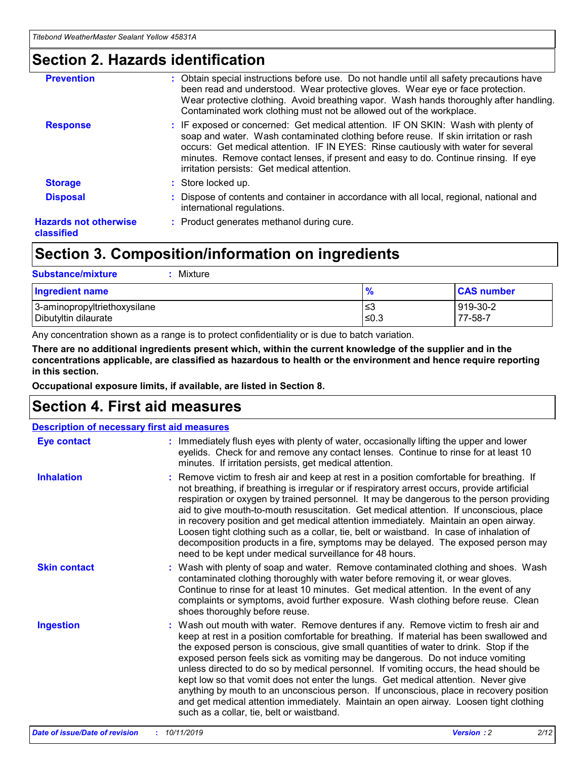### **Section 2. Hazards identification**

| <b>Prevention</b>                          | : Obtain special instructions before use. Do not handle until all safety precautions have<br>been read and understood. Wear protective gloves. Wear eye or face protection.<br>Wear protective clothing. Avoid breathing vapor. Wash hands thoroughly after handling.<br>Contaminated work clothing must not be allowed out of the workplace.                                                        |
|--------------------------------------------|------------------------------------------------------------------------------------------------------------------------------------------------------------------------------------------------------------------------------------------------------------------------------------------------------------------------------------------------------------------------------------------------------|
| <b>Response</b>                            | : IF exposed or concerned: Get medical attention. IF ON SKIN: Wash with plenty of<br>soap and water. Wash contaminated clothing before reuse. If skin irritation or rash<br>occurs: Get medical attention. IF IN EYES: Rinse cautiously with water for several<br>minutes. Remove contact lenses, if present and easy to do. Continue rinsing. If eye<br>irritation persists: Get medical attention. |
| <b>Storage</b>                             | : Store locked up.                                                                                                                                                                                                                                                                                                                                                                                   |
| <b>Disposal</b>                            | : Dispose of contents and container in accordance with all local, regional, national and<br>international regulations.                                                                                                                                                                                                                                                                               |
| <b>Hazards not otherwise</b><br>classified | : Product generates methanol during cure.                                                                                                                                                                                                                                                                                                                                                            |
|                                            |                                                                                                                                                                                                                                                                                                                                                                                                      |

## **Section 3. Composition/information on ingredients**

| <b>Substance/mixture</b><br>: Mixture                |               |                     |
|------------------------------------------------------|---------------|---------------------|
| Ingredient name                                      | $\frac{9}{6}$ | <b>CAS number</b>   |
| 3-aminopropyltriethoxysilane<br>Dibutyltin dilaurate | צ≥<br>≤0.3    | 919-30-2<br>77-58-7 |

Any concentration shown as a range is to protect confidentiality or is due to batch variation.

**There are no additional ingredients present which, within the current knowledge of the supplier and in the concentrations applicable, are classified as hazardous to health or the environment and hence require reporting in this section.**

**Occupational exposure limits, if available, are listed in Section 8.**

## **Section 4. First aid measures**

| <b>Description of necessary first aid measures</b> |                                                                                                                                                                                                                                                                                                                                                                                                                                                                                                                                                                                                                                                                                                                                                                           |  |  |  |
|----------------------------------------------------|---------------------------------------------------------------------------------------------------------------------------------------------------------------------------------------------------------------------------------------------------------------------------------------------------------------------------------------------------------------------------------------------------------------------------------------------------------------------------------------------------------------------------------------------------------------------------------------------------------------------------------------------------------------------------------------------------------------------------------------------------------------------------|--|--|--|
| <b>Eye contact</b>                                 | : Immediately flush eyes with plenty of water, occasionally lifting the upper and lower<br>eyelids. Check for and remove any contact lenses. Continue to rinse for at least 10<br>minutes. If irritation persists, get medical attention.                                                                                                                                                                                                                                                                                                                                                                                                                                                                                                                                 |  |  |  |
| <b>Inhalation</b>                                  | : Remove victim to fresh air and keep at rest in a position comfortable for breathing. If<br>not breathing, if breathing is irregular or if respiratory arrest occurs, provide artificial<br>respiration or oxygen by trained personnel. It may be dangerous to the person providing<br>aid to give mouth-to-mouth resuscitation. Get medical attention. If unconscious, place<br>in recovery position and get medical attention immediately. Maintain an open airway.<br>Loosen tight clothing such as a collar, tie, belt or waistband. In case of inhalation of<br>decomposition products in a fire, symptoms may be delayed. The exposed person may<br>need to be kept under medical surveillance for 48 hours.                                                       |  |  |  |
| <b>Skin contact</b>                                | : Wash with plenty of soap and water. Remove contaminated clothing and shoes. Wash<br>contaminated clothing thoroughly with water before removing it, or wear gloves.<br>Continue to rinse for at least 10 minutes. Get medical attention. In the event of any<br>complaints or symptoms, avoid further exposure. Wash clothing before reuse. Clean<br>shoes thoroughly before reuse.                                                                                                                                                                                                                                                                                                                                                                                     |  |  |  |
| <b>Ingestion</b>                                   | : Wash out mouth with water. Remove dentures if any. Remove victim to fresh air and<br>keep at rest in a position comfortable for breathing. If material has been swallowed and<br>the exposed person is conscious, give small quantities of water to drink. Stop if the<br>exposed person feels sick as vomiting may be dangerous. Do not induce vomiting<br>unless directed to do so by medical personnel. If vomiting occurs, the head should be<br>kept low so that vomit does not enter the lungs. Get medical attention. Never give<br>anything by mouth to an unconscious person. If unconscious, place in recovery position<br>and get medical attention immediately. Maintain an open airway. Loosen tight clothing<br>such as a collar, tie, belt or waistband. |  |  |  |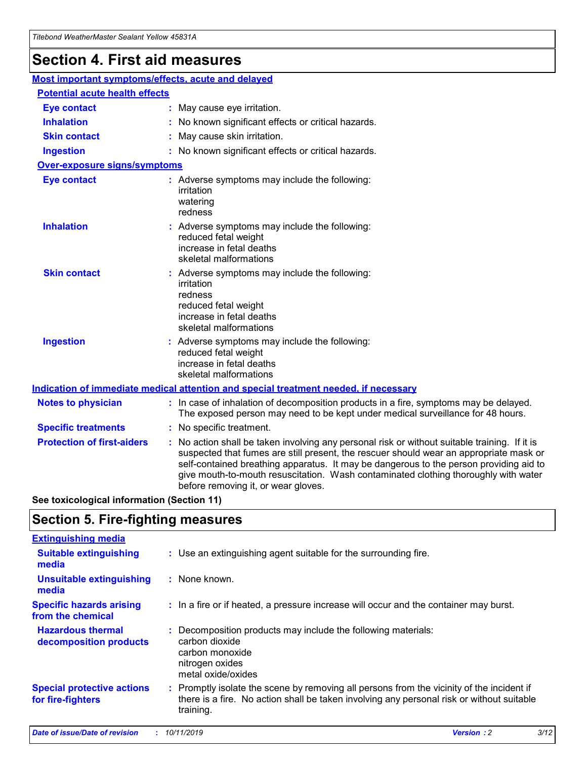## **Section 4. First aid measures**

| Most important symptoms/effects, acute and delayed |  |                                                                                                                                                                                                                                                                                                                                                                                                                 |  |  |
|----------------------------------------------------|--|-----------------------------------------------------------------------------------------------------------------------------------------------------------------------------------------------------------------------------------------------------------------------------------------------------------------------------------------------------------------------------------------------------------------|--|--|
| <b>Potential acute health effects</b>              |  |                                                                                                                                                                                                                                                                                                                                                                                                                 |  |  |
| <b>Eye contact</b>                                 |  | : May cause eye irritation.                                                                                                                                                                                                                                                                                                                                                                                     |  |  |
| <b>Inhalation</b>                                  |  | : No known significant effects or critical hazards.                                                                                                                                                                                                                                                                                                                                                             |  |  |
| <b>Skin contact</b>                                |  | : May cause skin irritation.                                                                                                                                                                                                                                                                                                                                                                                    |  |  |
| <b>Ingestion</b>                                   |  | : No known significant effects or critical hazards.                                                                                                                                                                                                                                                                                                                                                             |  |  |
| Over-exposure signs/symptoms                       |  |                                                                                                                                                                                                                                                                                                                                                                                                                 |  |  |
| <b>Eye contact</b>                                 |  | : Adverse symptoms may include the following:<br>irritation<br>watering<br>redness                                                                                                                                                                                                                                                                                                                              |  |  |
| <b>Inhalation</b>                                  |  | : Adverse symptoms may include the following:<br>reduced fetal weight<br>increase in fetal deaths<br>skeletal malformations                                                                                                                                                                                                                                                                                     |  |  |
| <b>Skin contact</b>                                |  | : Adverse symptoms may include the following:<br>irritation<br>redness<br>reduced fetal weight<br>increase in fetal deaths<br>skeletal malformations                                                                                                                                                                                                                                                            |  |  |
| <b>Ingestion</b>                                   |  | : Adverse symptoms may include the following:<br>reduced fetal weight<br>increase in fetal deaths<br>skeletal malformations                                                                                                                                                                                                                                                                                     |  |  |
|                                                    |  | <b>Indication of immediate medical attention and special treatment needed, if necessary</b>                                                                                                                                                                                                                                                                                                                     |  |  |
| <b>Notes to physician</b>                          |  | : In case of inhalation of decomposition products in a fire, symptoms may be delayed.<br>The exposed person may need to be kept under medical surveillance for 48 hours.                                                                                                                                                                                                                                        |  |  |
| <b>Specific treatments</b>                         |  | : No specific treatment.                                                                                                                                                                                                                                                                                                                                                                                        |  |  |
| <b>Protection of first-aiders</b>                  |  | : No action shall be taken involving any personal risk or without suitable training. If it is<br>suspected that fumes are still present, the rescuer should wear an appropriate mask or<br>self-contained breathing apparatus. It may be dangerous to the person providing aid to<br>give mouth-to-mouth resuscitation. Wash contaminated clothing thoroughly with water<br>before removing it, or wear gloves. |  |  |

**See toxicological information (Section 11)**

### **Section 5. Fire-fighting measures**

| <b>Extinguishing media</b>                             |                                                                                                                                                                                                     |
|--------------------------------------------------------|-----------------------------------------------------------------------------------------------------------------------------------------------------------------------------------------------------|
| <b>Suitable extinguishing</b><br>media                 | : Use an extinguishing agent suitable for the surrounding fire.                                                                                                                                     |
| <b>Unsuitable extinguishing</b><br>media               | : None known.                                                                                                                                                                                       |
| <b>Specific hazards arising</b><br>from the chemical   | : In a fire or if heated, a pressure increase will occur and the container may burst.                                                                                                               |
| <b>Hazardous thermal</b><br>decomposition products     | : Decomposition products may include the following materials:<br>carbon dioxide<br>carbon monoxide<br>nitrogen oxides<br>metal oxide/oxides                                                         |
| <b>Special protective actions</b><br>for fire-fighters | : Promptly isolate the scene by removing all persons from the vicinity of the incident if<br>there is a fire. No action shall be taken involving any personal risk or without suitable<br>training. |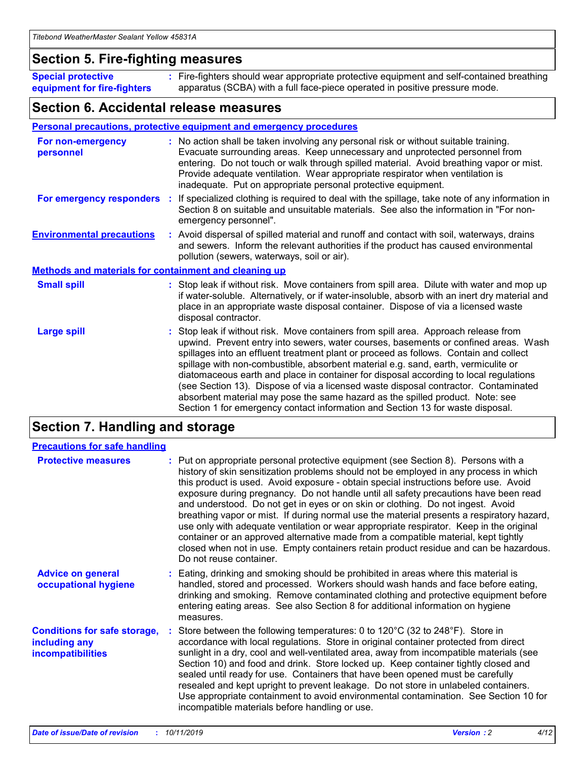### **Section 5. Fire-fighting measures**

**Special protective equipment for fire-fighters** Fire-fighters should wear appropriate protective equipment and self-contained breathing **:** apparatus (SCBA) with a full face-piece operated in positive pressure mode.

### **Section 6. Accidental release measures**

### **Personal precautions, protective equipment and emergency procedures**

| For non-emergency<br>personnel                               | : No action shall be taken involving any personal risk or without suitable training.<br>Evacuate surrounding areas. Keep unnecessary and unprotected personnel from<br>entering. Do not touch or walk through spilled material. Avoid breathing vapor or mist.<br>Provide adequate ventilation. Wear appropriate respirator when ventilation is<br>inadequate. Put on appropriate personal protective equipment.                                                                                                                                                                                                                                                                                             |
|--------------------------------------------------------------|--------------------------------------------------------------------------------------------------------------------------------------------------------------------------------------------------------------------------------------------------------------------------------------------------------------------------------------------------------------------------------------------------------------------------------------------------------------------------------------------------------------------------------------------------------------------------------------------------------------------------------------------------------------------------------------------------------------|
| For emergency responders                                     | : If specialized clothing is required to deal with the spillage, take note of any information in<br>Section 8 on suitable and unsuitable materials. See also the information in "For non-<br>emergency personnel".                                                                                                                                                                                                                                                                                                                                                                                                                                                                                           |
| <b>Environmental precautions</b>                             | : Avoid dispersal of spilled material and runoff and contact with soil, waterways, drains<br>and sewers. Inform the relevant authorities if the product has caused environmental<br>pollution (sewers, waterways, soil or air).                                                                                                                                                                                                                                                                                                                                                                                                                                                                              |
| <b>Methods and materials for containment and cleaning up</b> |                                                                                                                                                                                                                                                                                                                                                                                                                                                                                                                                                                                                                                                                                                              |
| <b>Small spill</b>                                           | : Stop leak if without risk. Move containers from spill area. Dilute with water and mop up<br>if water-soluble. Alternatively, or if water-insoluble, absorb with an inert dry material and<br>place in an appropriate waste disposal container. Dispose of via a licensed waste<br>disposal contractor.                                                                                                                                                                                                                                                                                                                                                                                                     |
| <b>Large spill</b>                                           | : Stop leak if without risk. Move containers from spill area. Approach release from<br>upwind. Prevent entry into sewers, water courses, basements or confined areas. Wash<br>spillages into an effluent treatment plant or proceed as follows. Contain and collect<br>spillage with non-combustible, absorbent material e.g. sand, earth, vermiculite or<br>diatomaceous earth and place in container for disposal according to local regulations<br>(see Section 13). Dispose of via a licensed waste disposal contractor. Contaminated<br>absorbent material may pose the same hazard as the spilled product. Note: see<br>Section 1 for emergency contact information and Section 13 for waste disposal. |

## **Section 7. Handling and storage**

| <b>Precautions for safe handling</b>                                             |                                                                                                                                                                                                                                                                                                                                                                                                                                                                                                                                                                                                                                                                                                                                                                                                                                                  |
|----------------------------------------------------------------------------------|--------------------------------------------------------------------------------------------------------------------------------------------------------------------------------------------------------------------------------------------------------------------------------------------------------------------------------------------------------------------------------------------------------------------------------------------------------------------------------------------------------------------------------------------------------------------------------------------------------------------------------------------------------------------------------------------------------------------------------------------------------------------------------------------------------------------------------------------------|
| <b>Protective measures</b>                                                       | : Put on appropriate personal protective equipment (see Section 8). Persons with a<br>history of skin sensitization problems should not be employed in any process in which<br>this product is used. Avoid exposure - obtain special instructions before use. Avoid<br>exposure during pregnancy. Do not handle until all safety precautions have been read<br>and understood. Do not get in eyes or on skin or clothing. Do not ingest. Avoid<br>breathing vapor or mist. If during normal use the material presents a respiratory hazard,<br>use only with adequate ventilation or wear appropriate respirator. Keep in the original<br>container or an approved alternative made from a compatible material, kept tightly<br>closed when not in use. Empty containers retain product residue and can be hazardous.<br>Do not reuse container. |
| <b>Advice on general</b><br>occupational hygiene                                 | : Eating, drinking and smoking should be prohibited in areas where this material is<br>handled, stored and processed. Workers should wash hands and face before eating,<br>drinking and smoking. Remove contaminated clothing and protective equipment before<br>entering eating areas. See also Section 8 for additional information on hygiene<br>measures.                                                                                                                                                                                                                                                                                                                                                                                                                                                                                    |
| <b>Conditions for safe storage,</b><br>including any<br><b>incompatibilities</b> | Store between the following temperatures: 0 to 120°C (32 to 248°F). Store in<br>accordance with local regulations. Store in original container protected from direct<br>sunlight in a dry, cool and well-ventilated area, away from incompatible materials (see<br>Section 10) and food and drink. Store locked up. Keep container tightly closed and<br>sealed until ready for use. Containers that have been opened must be carefully<br>resealed and kept upright to prevent leakage. Do not store in unlabeled containers.<br>Use appropriate containment to avoid environmental contamination. See Section 10 for<br>incompatible materials before handling or use.                                                                                                                                                                         |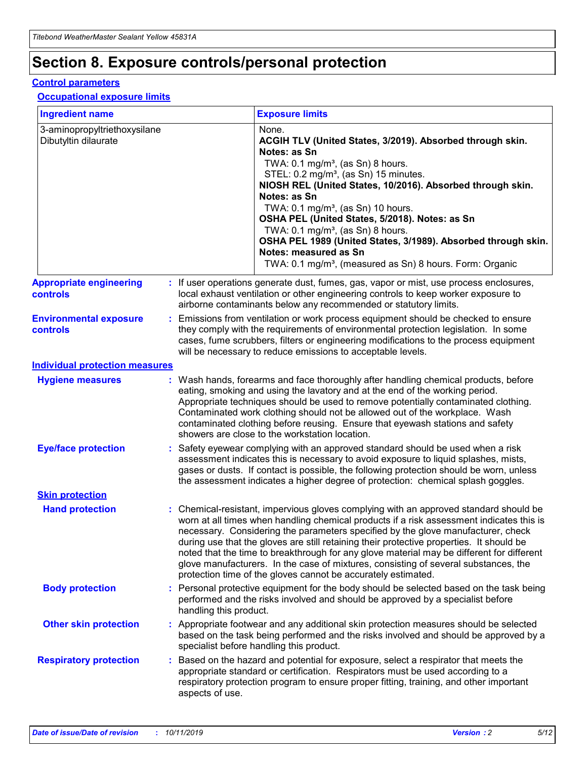## **Section 8. Exposure controls/personal protection**

### **Control parameters**

### **Occupational exposure limits**

| <b>Ingredient name</b>                               |    |                        | <b>Exposure limits</b>                                                                                                                                                                                                                                                                                                                                                                                                                                                                                                                                                                                                 |
|------------------------------------------------------|----|------------------------|------------------------------------------------------------------------------------------------------------------------------------------------------------------------------------------------------------------------------------------------------------------------------------------------------------------------------------------------------------------------------------------------------------------------------------------------------------------------------------------------------------------------------------------------------------------------------------------------------------------------|
| 3-aminopropyltriethoxysilane<br>Dibutyltin dilaurate |    |                        | None.<br>ACGIH TLV (United States, 3/2019). Absorbed through skin.<br>Notes: as Sn<br>TWA: $0.1 \text{ mg/m}^3$ , (as Sn) 8 hours.<br>STEL: 0.2 mg/m <sup>3</sup> , (as Sn) 15 minutes.<br>NIOSH REL (United States, 10/2016). Absorbed through skin.<br>Notes: as Sn<br>TWA: 0.1 mg/m <sup>3</sup> , (as Sn) 10 hours.<br>OSHA PEL (United States, 5/2018). Notes: as Sn<br>TWA: $0.1 \text{ mg/m}^3$ , (as Sn) 8 hours.<br>OSHA PEL 1989 (United States, 3/1989). Absorbed through skin.<br>Notes: measured as Sn<br>TWA: 0.1 mg/m <sup>3</sup> , (measured as Sn) 8 hours. Form: Organic                            |
| <b>Appropriate engineering</b><br>controls           |    |                        | : If user operations generate dust, fumes, gas, vapor or mist, use process enclosures,<br>local exhaust ventilation or other engineering controls to keep worker exposure to<br>airborne contaminants below any recommended or statutory limits.                                                                                                                                                                                                                                                                                                                                                                       |
| <b>Environmental exposure</b><br>controls            |    |                        | Emissions from ventilation or work process equipment should be checked to ensure<br>they comply with the requirements of environmental protection legislation. In some<br>cases, fume scrubbers, filters or engineering modifications to the process equipment<br>will be necessary to reduce emissions to acceptable levels.                                                                                                                                                                                                                                                                                          |
| <b>Individual protection measures</b>                |    |                        |                                                                                                                                                                                                                                                                                                                                                                                                                                                                                                                                                                                                                        |
| <b>Hygiene measures</b>                              |    |                        | : Wash hands, forearms and face thoroughly after handling chemical products, before<br>eating, smoking and using the lavatory and at the end of the working period.<br>Appropriate techniques should be used to remove potentially contaminated clothing.<br>Contaminated work clothing should not be allowed out of the workplace. Wash<br>contaminated clothing before reusing. Ensure that eyewash stations and safety<br>showers are close to the workstation location.                                                                                                                                            |
| <b>Eye/face protection</b>                           |    |                        | : Safety eyewear complying with an approved standard should be used when a risk<br>assessment indicates this is necessary to avoid exposure to liquid splashes, mists,<br>gases or dusts. If contact is possible, the following protection should be worn, unless<br>the assessment indicates a higher degree of protection: chemical splash goggles.                                                                                                                                                                                                                                                                  |
| <b>Skin protection</b>                               |    |                        |                                                                                                                                                                                                                                                                                                                                                                                                                                                                                                                                                                                                                        |
| <b>Hand protection</b>                               |    |                        | : Chemical-resistant, impervious gloves complying with an approved standard should be<br>worn at all times when handling chemical products if a risk assessment indicates this is<br>necessary. Considering the parameters specified by the glove manufacturer, check<br>during use that the gloves are still retaining their protective properties. It should be<br>noted that the time to breakthrough for any glove material may be different for different<br>glove manufacturers. In the case of mixtures, consisting of several substances, the<br>protection time of the gloves cannot be accurately estimated. |
| <b>Body protection</b>                               |    | handling this product. | Personal protective equipment for the body should be selected based on the task being<br>performed and the risks involved and should be approved by a specialist before                                                                                                                                                                                                                                                                                                                                                                                                                                                |
| <b>Other skin protection</b>                         |    |                        | : Appropriate footwear and any additional skin protection measures should be selected<br>based on the task being performed and the risks involved and should be approved by a<br>specialist before handling this product.                                                                                                                                                                                                                                                                                                                                                                                              |
| <b>Respiratory protection</b>                        | ÷. | aspects of use.        | Based on the hazard and potential for exposure, select a respirator that meets the<br>appropriate standard or certification. Respirators must be used according to a<br>respiratory protection program to ensure proper fitting, training, and other important                                                                                                                                                                                                                                                                                                                                                         |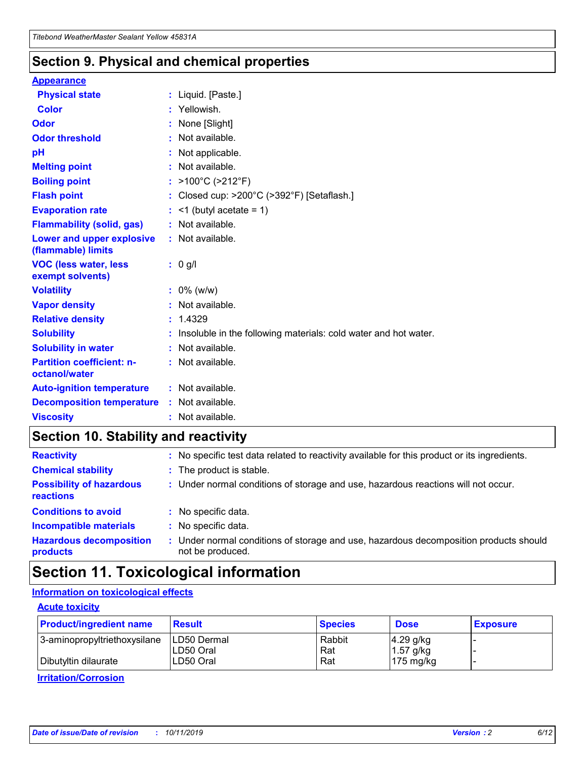### **Section 9. Physical and chemical properties**

### **Appearance**

| <b>Physical state</b>                             | : Liquid. [Paste.]                                                |
|---------------------------------------------------|-------------------------------------------------------------------|
| <b>Color</b>                                      | : Yellowish.                                                      |
| Odor                                              | : None [Slight]                                                   |
| <b>Odor threshold</b>                             | : Not available.                                                  |
| pH                                                | : Not applicable.                                                 |
| <b>Melting point</b>                              | : Not available.                                                  |
| <b>Boiling point</b>                              | : >100°C (>212°F)                                                 |
| <b>Flash point</b>                                | : Closed cup: >200°C (>392°F) [Setaflash.]                        |
| <b>Evaporation rate</b>                           | $:$ <1 (butyl acetate = 1)                                        |
| <b>Flammability (solid, gas)</b>                  | : Not available.                                                  |
| Lower and upper explosive<br>(flammable) limits   | $:$ Not available.                                                |
| <b>VOC (less water, less</b><br>exempt solvents)  | : 0 g/l                                                           |
| <b>Volatility</b>                                 | $: 0\%$ (w/w)                                                     |
| <b>Vapor density</b>                              | : Not available.                                                  |
| <b>Relative density</b>                           | : 1.4329                                                          |
| <b>Solubility</b>                                 | : Insoluble in the following materials: cold water and hot water. |
| <b>Solubility in water</b>                        | : Not available.                                                  |
| <b>Partition coefficient: n-</b><br>octanol/water | : Not available.                                                  |
| <b>Auto-ignition temperature</b>                  | : Not available.                                                  |
| <b>Decomposition temperature</b>                  | $:$ Not available.                                                |
| <b>Viscosity</b>                                  | : Not available.                                                  |

## **Section 10. Stability and reactivity**

| <b>Reactivity</b>                            | : No specific test data related to reactivity available for this product or its ingredients.            |
|----------------------------------------------|---------------------------------------------------------------------------------------------------------|
| <b>Chemical stability</b>                    | : The product is stable.                                                                                |
| <b>Possibility of hazardous</b><br>reactions | : Under normal conditions of storage and use, hazardous reactions will not occur.                       |
| <b>Conditions to avoid</b>                   | : No specific data.                                                                                     |
| <b>Incompatible materials</b>                | : No specific data.                                                                                     |
| <b>Hazardous decomposition</b><br>products   | Under normal conditions of storage and use, hazardous decomposition products should<br>not be produced. |

## **Section 11. Toxicological information**

### **Information on toxicological effects**

### **Acute toxicity**

| <b>Product/ingredient name</b> | <b>Result</b> | <b>Species</b> | <b>Dose</b>         | <b>Exposure</b> |
|--------------------------------|---------------|----------------|---------------------|-----------------|
| 3-aminopropyltriethoxysilane   | ILD50 Dermal  | Rabbit         | $4.29$ g/kg         |                 |
|                                | ILD50 Oral    | Rat            | $1.57$ g/kg         |                 |
| Dibutyltin dilaurate           | LD50 Oral     | Rat            | $175 \text{ mg/kg}$ |                 |

**Irritation/Corrosion**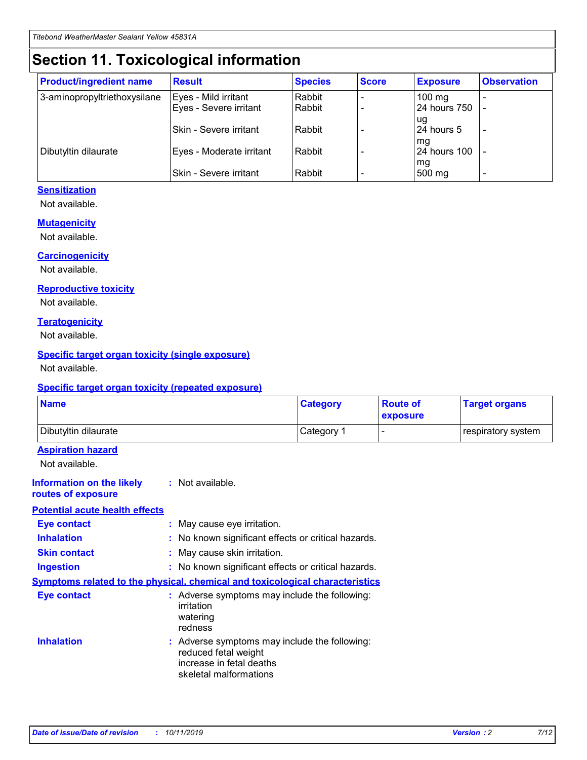## **Section 11. Toxicological information**

| <b>Product/ingredient name</b> | <b>Result</b>            | <b>Species</b> | <b>Score</b> | <b>Exposure</b>           | <b>Observation</b> |
|--------------------------------|--------------------------|----------------|--------------|---------------------------|--------------------|
| 3-aminopropyltriethoxysilane   | Eyes - Mild irritant     | Rabbit         |              | $100$ mg                  |                    |
|                                | Eyes - Severe irritant   | Rabbit         |              | 24 hours 750              |                    |
|                                |                          |                |              | ug                        |                    |
|                                | Skin - Severe irritant   | Rabbit         |              | 24 hours 5                | -                  |
| Dibutyltin dilaurate           | Eyes - Moderate irritant | Rabbit         |              | mq<br><b>24 hours 100</b> |                    |
|                                |                          |                |              | mg                        |                    |
|                                | Skin - Severe irritant   | Rabbit         |              | 500 mg                    |                    |

### **Sensitization**

Not available.

### **Mutagenicity**

Not available.

#### **Carcinogenicity**

Not available.

#### **Reproductive toxicity**

Not available.

#### **Teratogenicity**

Not available.

### **Specific target organ toxicity (single exposure)**

Not available.

#### **Specific target organ toxicity (repeated exposure)**

| <b>Name</b>                                                                  |                                                                                                                             | <b>Category</b> | <b>Route of</b><br>exposure  | <b>Target organs</b> |
|------------------------------------------------------------------------------|-----------------------------------------------------------------------------------------------------------------------------|-----------------|------------------------------|----------------------|
| Dibutyltin dilaurate                                                         |                                                                                                                             | Category 1      | $\qquad \qquad \blacksquare$ | respiratory system   |
| <b>Aspiration hazard</b><br>Not available.                                   |                                                                                                                             |                 |                              |                      |
| <b>Information on the likely</b><br>routes of exposure                       | : Not available.                                                                                                            |                 |                              |                      |
| <b>Potential acute health effects</b>                                        |                                                                                                                             |                 |                              |                      |
| <b>Eye contact</b>                                                           | : May cause eye irritation.                                                                                                 |                 |                              |                      |
| <b>Inhalation</b>                                                            | : No known significant effects or critical hazards.                                                                         |                 |                              |                      |
| <b>Skin contact</b>                                                          | : May cause skin irritation.                                                                                                |                 |                              |                      |
| <b>Ingestion</b>                                                             | : No known significant effects or critical hazards.                                                                         |                 |                              |                      |
| Symptoms related to the physical, chemical and toxicological characteristics |                                                                                                                             |                 |                              |                      |
| <b>Eye contact</b>                                                           | : Adverse symptoms may include the following:<br>irritation<br>watering<br>redness                                          |                 |                              |                      |
| <b>Inhalation</b>                                                            | : Adverse symptoms may include the following:<br>reduced fetal weight<br>increase in fetal deaths<br>skeletal malformations |                 |                              |                      |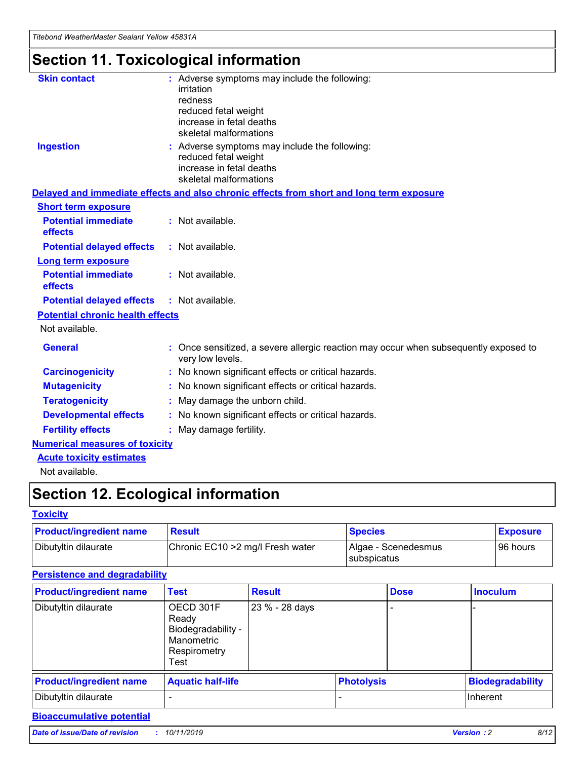*Titebond WeatherMaster Sealant Yellow 45831A*

## **Section 11. Toxicological information**

| <b>Skin contact</b>                     | : Adverse symptoms may include the following:<br>irritation<br>redness<br>reduced fetal weight<br>increase in fetal deaths<br>skeletal malformations |
|-----------------------------------------|------------------------------------------------------------------------------------------------------------------------------------------------------|
| <b>Ingestion</b>                        | : Adverse symptoms may include the following:<br>reduced fetal weight<br>increase in fetal deaths<br>skeletal malformations                          |
|                                         | Delayed and immediate effects and also chronic effects from short and long term exposure                                                             |
| <b>Short term exposure</b>              |                                                                                                                                                      |
| <b>Potential immediate</b><br>effects   | : Not available.                                                                                                                                     |
| <b>Potential delayed effects</b>        | : Not available.                                                                                                                                     |
| Long term exposure                      |                                                                                                                                                      |
| <b>Potential immediate</b><br>effects   | : Not available.                                                                                                                                     |
| <b>Potential delayed effects</b>        | : Not available.                                                                                                                                     |
| <b>Potential chronic health effects</b> |                                                                                                                                                      |
| Not available.                          |                                                                                                                                                      |
| <b>General</b>                          | Once sensitized, a severe allergic reaction may occur when subsequently exposed to<br>very low levels.                                               |
| <b>Carcinogenicity</b>                  | : No known significant effects or critical hazards.                                                                                                  |
| <b>Mutagenicity</b>                     | : No known significant effects or critical hazards.                                                                                                  |
| <b>Teratogenicity</b>                   | May damage the unborn child.                                                                                                                         |
| <b>Developmental effects</b>            | : No known significant effects or critical hazards.                                                                                                  |
| <b>Fertility effects</b>                | : May damage fertility.                                                                                                                              |
| <b>Numerical measures of toxicity</b>   |                                                                                                                                                      |
| <b>Acute toxicity estimates</b>         |                                                                                                                                                      |
| الملمانون بمللملة                       |                                                                                                                                                      |

Not available.

## **Section 12. Ecological information**

### **Toxicity**

| <b>Product/ingredient name</b> | <b>Result</b>                     | <b>Species</b>                       | <b>Exposure</b> |
|--------------------------------|-----------------------------------|--------------------------------------|-----------------|
| Dibutyltin dilaurate           | Chronic EC10 > 2 mg/l Fresh water | Algae - Scenedesmus<br>I subspicatus | l 96 hours i    |

### **Persistence and degradability**

| <b>Product/ingredient name</b> | Test                                                                           | <b>Result</b>  |                   | <b>Dose</b> | <b>Inoculum</b>         |
|--------------------------------|--------------------------------------------------------------------------------|----------------|-------------------|-------------|-------------------------|
| Dibutyltin dilaurate           | OECD 301F<br>Ready<br>Biodegradability -<br>Manometric<br>Respirometry<br>Test | 23 % - 28 days |                   |             |                         |
| <b>Product/ingredient name</b> | <b>Aquatic half-life</b>                                                       |                | <b>Photolysis</b> |             | <b>Biodegradability</b> |
| Dibutyltin dilaurate           |                                                                                |                |                   |             | Inherent                |

### **Bioaccumulative potential**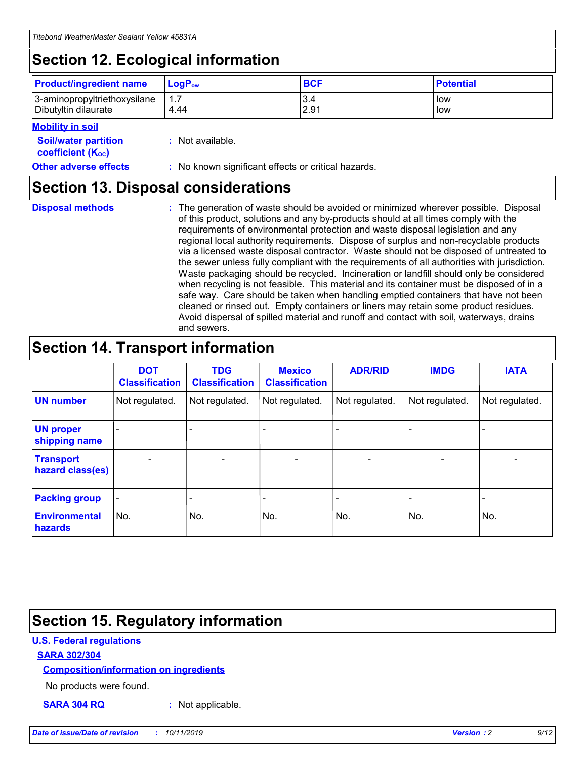## **Section 12. Ecological information**

| <b>Product/ingredient name</b>                       | ∣LoqP <sub>ow</sub> | <b>BCF</b>  | <b>Potential</b> |
|------------------------------------------------------|---------------------|-------------|------------------|
| 3-aminopropyltriethoxysilane<br>Dibutyltin dilaurate | 4.44                | 3.4<br>2.91 | low<br>low       |

### **Mobility in soil**

| <i></i>                                                       |                                                     |
|---------------------------------------------------------------|-----------------------------------------------------|
| <b>Soil/water partition</b><br>coefficient (K <sub>oc</sub> ) | : Not available.                                    |
| <b>Other adverse effects</b>                                  | : No known significant effects or critical hazards. |

### **Section 13. Disposal considerations**

|  | <b>Disposal methods</b> |  |
|--|-------------------------|--|

**Disposal methods** : The generation of waste should be avoided or minimized wherever possible. Disposal of this product, solutions and any by-products should at all times comply with the requirements of environmental protection and waste disposal legislation and any regional local authority requirements. Dispose of surplus and non-recyclable products via a licensed waste disposal contractor. Waste should not be disposed of untreated to the sewer unless fully compliant with the requirements of all authorities with jurisdiction. Waste packaging should be recycled. Incineration or landfill should only be considered when recycling is not feasible. This material and its container must be disposed of in a safe way. Care should be taken when handling emptied containers that have not been cleaned or rinsed out. Empty containers or liners may retain some product residues. Avoid dispersal of spilled material and runoff and contact with soil, waterways, drains and sewers.

## **Section 14. Transport information**

|                                      | <b>DOT</b><br><b>Classification</b> | <b>TDG</b><br><b>Classification</b> | <b>Mexico</b><br><b>Classification</b> | <b>ADR/RID</b>           | <b>IMDG</b>              | <b>IATA</b>              |
|--------------------------------------|-------------------------------------|-------------------------------------|----------------------------------------|--------------------------|--------------------------|--------------------------|
| <b>UN number</b>                     | Not regulated.                      | Not regulated.                      | Not regulated.                         | Not regulated.           | Not regulated.           | Not regulated.           |
| <b>UN proper</b><br>shipping name    | $\qquad \qquad \blacksquare$        |                                     |                                        |                          |                          |                          |
| <b>Transport</b><br>hazard class(es) | $\blacksquare$                      | $\blacksquare$                      | $\blacksquare$                         | $\overline{\phantom{a}}$ | $\blacksquare$           | $\blacksquare$           |
| <b>Packing group</b>                 | $\overline{\phantom{a}}$            | $\overline{\phantom{0}}$            | $\overline{\phantom{0}}$               | -                        | $\overline{\phantom{0}}$ | $\overline{\phantom{a}}$ |
| <b>Environmental</b><br>hazards      | No.                                 | No.                                 | No.                                    | No.                      | No.                      | No.                      |

## **Section 15. Regulatory information**

### **U.S. Federal regulations**

### **SARA 302/304**

### **Composition/information on ingredients**

No products were found.

**SARA 304 RQ :** Not applicable.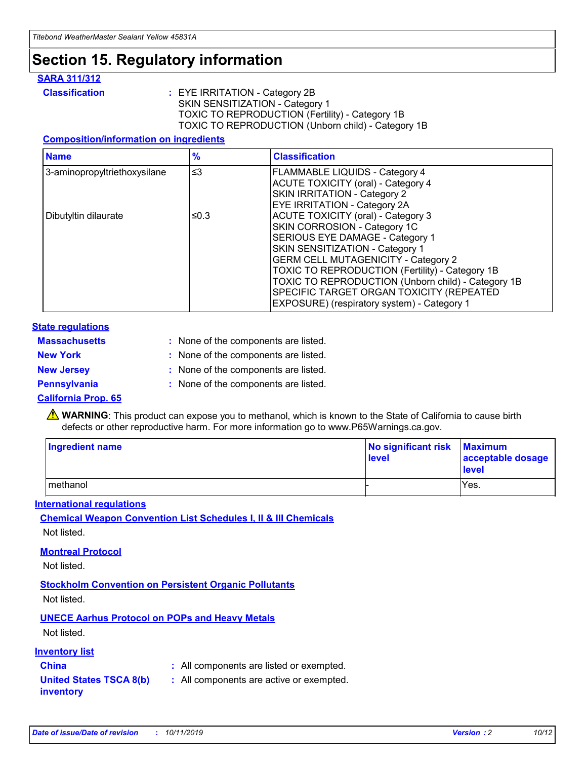## **Section 15. Regulatory information**

### **SARA 311/312**

**Classification :** EYE IRRITATION - Category 2B SKIN SENSITIZATION - Category 1 TOXIC TO REPRODUCTION (Fertility) - Category 1B TOXIC TO REPRODUCTION (Unborn child) - Category 1B

### **Composition/information on ingredients**

| <b>Name</b>                  | $\frac{9}{6}$ | <b>Classification</b>                                                                                                                                                                                                                                                                                                                  |
|------------------------------|---------------|----------------------------------------------------------------------------------------------------------------------------------------------------------------------------------------------------------------------------------------------------------------------------------------------------------------------------------------|
| 3-aminopropyltriethoxysilane | $\leq$ 3      | <b>FLAMMABLE LIQUIDS - Category 4</b><br><b>ACUTE TOXICITY (oral) - Category 4</b><br>SKIN IRRITATION - Category 2                                                                                                                                                                                                                     |
| Dibutyltin dilaurate         | ≤0.3          | EYE IRRITATION - Category 2A<br><b>ACUTE TOXICITY (oral) - Category 3</b><br>SKIN CORROSION - Category 1C<br>SERIOUS EYE DAMAGE - Category 1<br>SKIN SENSITIZATION - Category 1<br><b>GERM CELL MUTAGENICITY - Category 2</b><br>TOXIC TO REPRODUCTION (Fertility) - Category 1B<br>TOXIC TO REPRODUCTION (Unborn child) - Category 1B |
|                              |               | SPECIFIC TARGET ORGAN TOXICITY (REPEATED<br>EXPOSURE) (respiratory system) - Category 1                                                                                                                                                                                                                                                |

### **State regulations**

| <b>Massachusetts</b> | : None of the components are listed. |
|----------------------|--------------------------------------|
| <b>New York</b>      | : None of the components are listed. |
| <b>New Jersey</b>    | : None of the components are listed. |
| <b>Pennsylvania</b>  | : None of the components are listed. |

### **California Prop. 65**

**A** WARNING: This product can expose you to methanol, which is known to the State of California to cause birth defects or other reproductive harm. For more information go to www.P65Warnings.ca.gov.

| <b>Ingredient name</b> | No significant risk Maximum<br>level | acceptable dosage<br>level |
|------------------------|--------------------------------------|----------------------------|
| methanol               |                                      | Yes.                       |

### **International regulations**

**Chemical Weapon Convention List Schedules I, II & III Chemicals** Not listed.

### **Montreal Protocol**

Not listed.

**Stockholm Convention on Persistent Organic Pollutants**

Not listed.

### **UNECE Aarhus Protocol on POPs and Heavy Metals**

Not listed.

### **Inventory list**

### **China :** All components are listed or exempted.

**United States TSCA 8(b) inventory :** All components are active or exempted.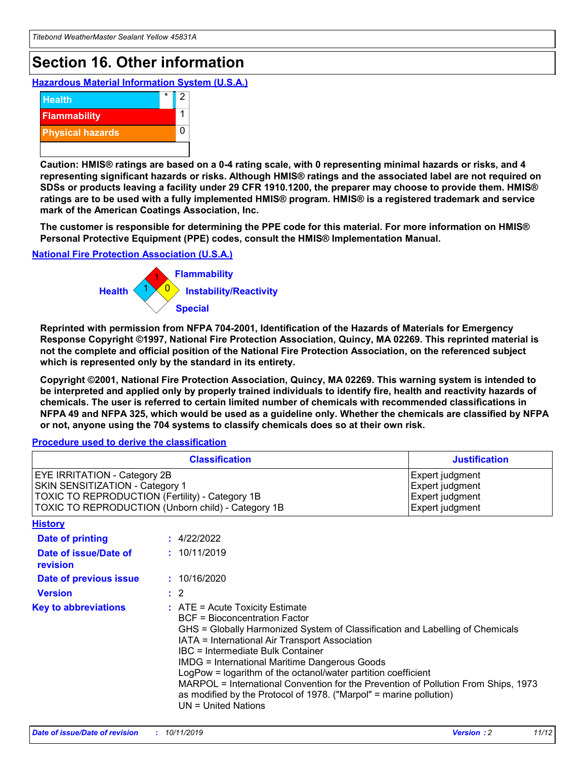## **Section 16. Other information**

**Hazardous Material Information System (U.S.A.)**



**Caution: HMIS® ratings are based on a 0-4 rating scale, with 0 representing minimal hazards or risks, and 4 representing significant hazards or risks. Although HMIS® ratings and the associated label are not required on SDSs or products leaving a facility under 29 CFR 1910.1200, the preparer may choose to provide them. HMIS® ratings are to be used with a fully implemented HMIS® program. HMIS® is a registered trademark and service mark of the American Coatings Association, Inc.**

**The customer is responsible for determining the PPE code for this material. For more information on HMIS® Personal Protective Equipment (PPE) codes, consult the HMIS® Implementation Manual.**

### **National Fire Protection Association (U.S.A.)**



**Reprinted with permission from NFPA 704-2001, Identification of the Hazards of Materials for Emergency Response Copyright ©1997, National Fire Protection Association, Quincy, MA 02269. This reprinted material is not the complete and official position of the National Fire Protection Association, on the referenced subject which is represented only by the standard in its entirety.**

**Copyright ©2001, National Fire Protection Association, Quincy, MA 02269. This warning system is intended to be interpreted and applied only by properly trained individuals to identify fire, health and reactivity hazards of chemicals. The user is referred to certain limited number of chemicals with recommended classifications in NFPA 49 and NFPA 325, which would be used as a guideline only. Whether the chemicals are classified by NFPA or not, anyone using the 704 systems to classify chemicals does so at their own risk.**

**Procedure used to derive the classification**

|                                                                                                                    | <b>Classification</b>                                                                                                                            | <b>Justification</b>                                                                                                                                                                                                                                                                                                                                                                                                 |  |
|--------------------------------------------------------------------------------------------------------------------|--------------------------------------------------------------------------------------------------------------------------------------------------|----------------------------------------------------------------------------------------------------------------------------------------------------------------------------------------------------------------------------------------------------------------------------------------------------------------------------------------------------------------------------------------------------------------------|--|
| EYE IRRITATION - Category 2B<br>SKIN SENSITIZATION - Category 1<br>TOXIC TO REPRODUCTION (Fertility) - Category 1B | TOXIC TO REPRODUCTION (Unborn child) - Category 1B                                                                                               | Expert judgment<br>Expert judgment<br>Expert judgment<br>Expert judgment                                                                                                                                                                                                                                                                                                                                             |  |
| <b>History</b>                                                                                                     |                                                                                                                                                  |                                                                                                                                                                                                                                                                                                                                                                                                                      |  |
| Date of printing                                                                                                   | : 4/22/2022                                                                                                                                      |                                                                                                                                                                                                                                                                                                                                                                                                                      |  |
| Date of issue/Date of<br>revision                                                                                  | : 10/11/2019                                                                                                                                     |                                                                                                                                                                                                                                                                                                                                                                                                                      |  |
| Date of previous issue                                                                                             | : 10/16/2020                                                                                                                                     |                                                                                                                                                                                                                                                                                                                                                                                                                      |  |
| <b>Version</b>                                                                                                     | $\therefore$ 2                                                                                                                                   |                                                                                                                                                                                                                                                                                                                                                                                                                      |  |
| <b>Key to abbreviations</b>                                                                                        | $\therefore$ ATE = Acute Toxicity Estimate<br><b>BCF</b> = Bioconcentration Factor<br>IBC = Intermediate Bulk Container<br>$UN = United Nations$ | GHS = Globally Harmonized System of Classification and Labelling of Chemicals<br>IATA = International Air Transport Association<br><b>IMDG = International Maritime Dangerous Goods</b><br>LogPow = logarithm of the octanol/water partition coefficient<br>MARPOL = International Convention for the Prevention of Pollution From Ships, 1973<br>as modified by the Protocol of 1978. ("Marpol" = marine pollution) |  |